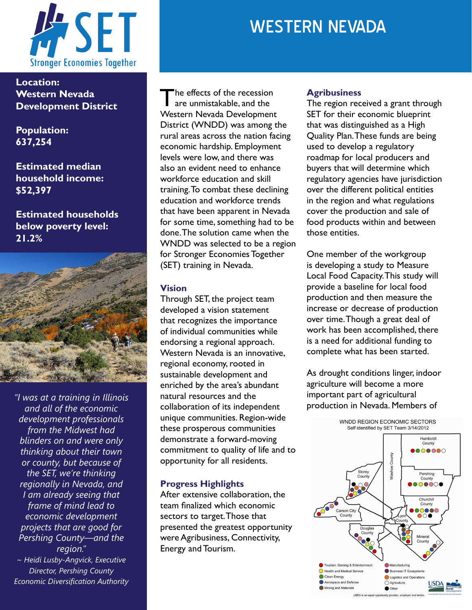

**Location: Western Nevada Development District** 

**Population: 637,254**

**Estimated median household income: \$52,397**

**Estimated households below poverty level: 21.2%**



*"I was at a training in Illinois and all of the economic development professionals from the Midwest had blinders on and were only thinking about their town or county, but because of the SET, we're thinking regionally in Nevada, and I am already seeing that frame of mind lead to economic development projects that are good for Pershing County—and the region." ~ Heidi Lusby-Angvick, Executive* 

*Director, Pershing County Economic Diversification Authority*

# The effects of the recession are unmistakable, and the Western Nevada Development District (WNDD) was among the rural areas across the nation facing economic hardship. Employment levels were low, and there was also an evident need to enhance workforce education and skill training. To combat these declining education and workforce trends that have been apparent in Nevada for some time, something had to be done. The solution came when the WNDD was selected to be a region for Stronger Economies Together (SET) training in Nevada.

### **Vision**

Through SET, the project team developed a vision statement that recognizes the importance of individual communities while endorsing a regional approach. Western Nevada is an innovative, regional economy, rooted in sustainable development and enriched by the area's abundant natural resources and the collaboration of its independent unique communities. Region-wide these prosperous communities demonstrate a forward-moving commitment to quality of life and to opportunity for all residents.

# **Progress Highlights**

After extensive collaboration, the team finalized which economic sectors to target. Those that presented the greatest opportunity were Agribusiness, Connectivity, Energy and Tourism.

# WESTERN NEVADA

#### **Agribusiness**

The region received a grant through SET for their economic blueprint that was distinguished as a High Quality Plan. These funds are being used to develop a regulatory roadmap for local producers and buyers that will determine which regulatory agencies have jurisdiction over the different political entities in the region and what regulations cover the production and sale of food products within and between those entities.

One member of the workgroup is developing a study to Measure Local Food Capacity. This study will provide a baseline for local food production and then measure the increase or decrease of production over time. Though a great deal of work has been accomplished, there is a need for additional funding to complete what has been started.

As drought conditions linger, indoor agriculture will become a more important part of agricultural production in Nevada. Members of